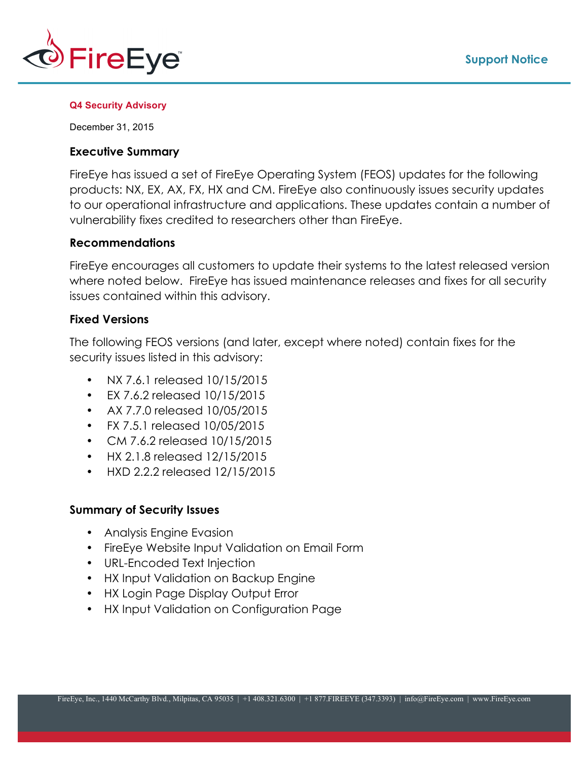

#### **Q4 Security Advisory**

December 31, 2015

### **Executive Summary**

FireEye has issued a set of FireEye Operating System (FEOS) updates for the following products: NX, EX, AX, FX, HX and CM. FireEye also continuously issues security updates to our operational infrastructure and applications. These updates contain a number of vulnerability fixes credited to researchers other than FireEye.

## **Recommendations**

FireEye encourages all customers to update their systems to the latest released version where noted below. FireEye has issued maintenance releases and fixes for all security issues contained within this advisory.

## **Fixed Versions**

The following FEOS versions (and later, except where noted) contain fixes for the security issues listed in this advisory:

- NX 7.6.1 released 10/15/2015
- EX 7.6.2 released 10/15/2015
- AX 7.7.0 released 10/05/2015
- FX 7.5.1 released 10/05/2015
- CM 7.6.2 released 10/15/2015
- HX 2.1.8 released 12/15/2015
- HXD 2.2.2 released 12/15/2015

## **Summary of Security Issues**

- Analysis Engine Evasion
- FireEye Website Input Validation on Email Form
- URL-Encoded Text Injection
- HX Input Validation on Backup Engine
- HX Login Page Display Output Error
- HX Input Validation on Configuration Page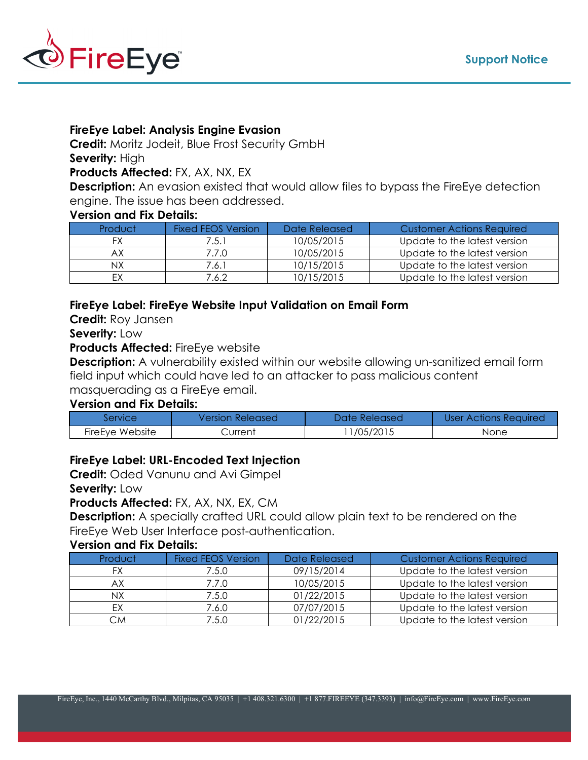

## **FireEye Label: Analysis Engine Evasion**

**Credit:** Moritz Jodeit, Blue Frost Security GmbH

# **Severity:** High

**Products Affected:** FX, AX, NX, EX

**Description:** An evasion existed that would allow files to bypass the FireEye detection engine. The issue has been addressed.

## **Version and Fix Details:**

| Product | Fixed FEOS Version | Date Released | Customer Actions Required    |
|---------|--------------------|---------------|------------------------------|
|         | 7.5.1              | 10/05/2015    | Update to the latest version |
| ΑX      | 7.7.0              | 10/05/2015    | Update to the latest version |
|         | 7.6.1              | 10/15/2015    | Update to the latest version |
|         | 7.6.2              | 10/15/2015    | Update to the latest version |

## **FireEye Label: FireEye Website Input Validation on Email Form**

**Credit:** Roy Jansen

#### **Severity:** Low

## **Products Affected:** FireEye website

**Description:** A vulnerability existed within our website allowing un-sanitized email form field input which could have led to an attacker to pass malicious content masquerading as a FireEye email.

## **Version and Fix Details:**

| <b>Service</b>  | <b>Version Released</b> | Date Released | <b>User Actions Required</b> |
|-----------------|-------------------------|---------------|------------------------------|
| FireEye Website | Surrent ∶               | /05/2015      | None                         |

## **FireEye Label: URL-Encoded Text Injection**

**Credit:** Oded Vanunu and Avi Gimpel

**Severity:** Low

## **Products Affected:** FX, AX, NX, EX, CM

**Description:** A specially crafted URL could allow plain text to be rendered on the FireEye Web User Interface post-authentication.

#### **Version and Fix Details:**

| Product | <b>Fixed FEOS Version</b> | Date Released | <b>Customer Actions Required</b> |
|---------|---------------------------|---------------|----------------------------------|
| FX      | 7.5.0                     | 09/15/2014    | Update to the latest version     |
|         | 7.7.0                     | 10/05/2015    | Update to the latest version     |
| NΧ      | 7.5.0                     | 01/22/2015    | Update to the latest version     |
|         | 7.6.0                     | 07/07/2015    | Update to the latest version     |
| СM      | 7.5.0                     | 01/22/2015    | Update to the latest version     |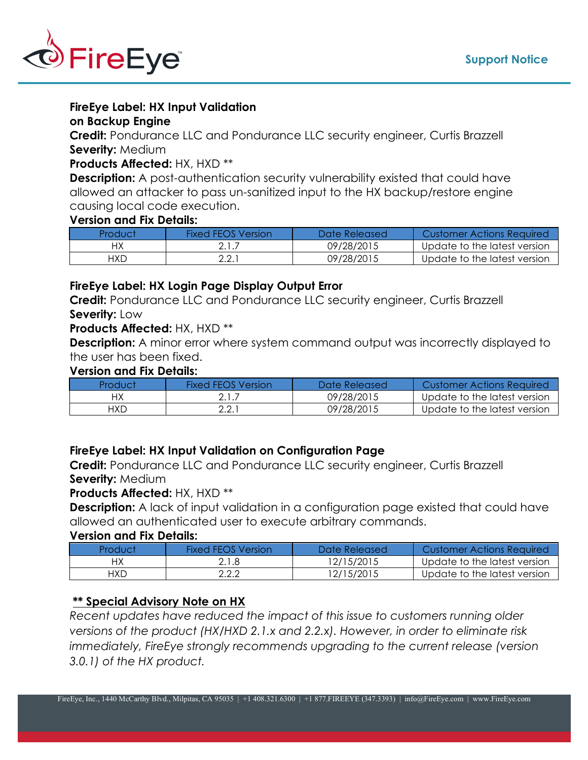

## **FireEye Label: HX Input Validation**

#### **on Backup Engine**

**Credit:** Pondurance LLC and Pondurance LLC security engineer, Curtis Brazzell **Severity:** Medium

## **Products Affected:** HX, HXD \*\*

**Description:** A post-authentication security vulnerability existed that could have allowed an attacker to pass un-sanitized input to the HX backup/restore engine causing local code execution.

#### **Version and Fix Details:**

| Product    | <b>Fixed FFOS Version</b> | Date Released | Customer Actions Required    |
|------------|---------------------------|---------------|------------------------------|
|            |                           | 09/28/2015    | Update to the latest version |
| <b>HXD</b> | 2.2.7                     | 09/28/2015    | Update to the latest version |

## **FireEye Label: HX Login Page Display Output Error**

**Credit:** Pondurance LLC and Pondurance LLC security engineer, Curtis Brazzell **Severity:** Low

## **Products Affected:** HX, HXD \*\*

**Description:** A minor error where system command output was incorrectly displayed to the user has been fixed.

## **Version and Fix Details:**

| Product | <b>Fixed FFOS Version</b> | Date Released | Customer Actions Required    |
|---------|---------------------------|---------------|------------------------------|
|         |                           | 09/28/2015    | Update to the latest version |
| HXD     | 2.2.7                     | 09/28/2015    | Update to the latest version |

## **FireEye Label: HX Input Validation on Configuration Page**

**Credit:** Pondurance LLC and Pondurance LLC security engineer, Curtis Brazzell **Severity:** Medium

#### **Products Affected:** HX, HXD \*\*

**Description:** A lack of input validation in a configuration page existed that could have allowed an authenticated user to execute arbitrary commands.

#### **Version and Fix Details:**

| Product | <b>Fixed FFOS Version</b> | Date Released | <b>Customer Actions Required</b> |
|---------|---------------------------|---------------|----------------------------------|
|         | 2.1.8                     | 12/15/2015    | Update to the latest version     |
| HXD     | 2.2.2                     | 12/15/2015    | Update to the latest version     |

## **\*\* Special Advisory Note on HX**

*Recent updates have reduced the impact of this issue to customers running older versions of the product (HX/HXD 2.1.x and 2.2.x). However, in order to eliminate risk immediately, FireEye strongly recommends upgrading to the current release (version 3.0.1) of the HX product.*